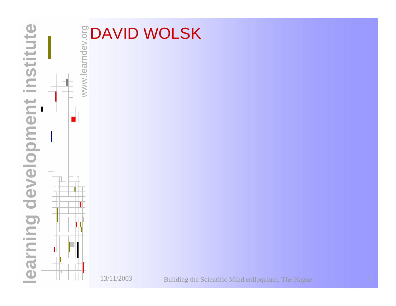

## www.learndev.org **DAVID WOLSK**

13/11/2003

ШП

Building the Scientific Mind colloquium, The Hague <sup>1</sup>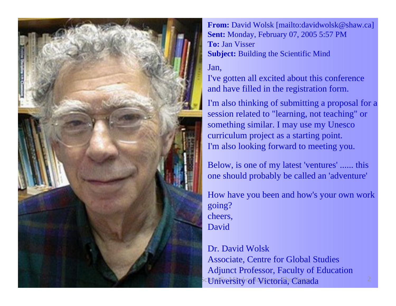

**From:** David Wolsk [mailto:davidwolsk@strain: Nonday, February 07, 2005 5:57 PM D avid Wolsk [mailto:davidw olsk@shaw.ca] **To:** Jan Visser **Subject:** Building the Scientific Mind

## Jan,

I've gotten all excited about this conference and have filled in the registration form.

I'm also thinking of submitting a proposal for a session related to "learning, not teaching" or something similar. I may use my Unesco curriculum project as a starting point. I'm also looking forward to meeting you.

Below, is one of my latest 'ventures' ...... this one should probably be called an 'adventure'

How have you been and how's your own work going? cheers, David

## **Building Scientific Microria, Canada** Dr. David Wolsk Associate, Centre for Global Studies Adjunct Professor, Faculty of Education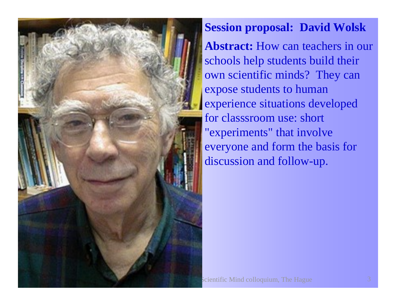

 **Session proposal: David Wolsk Abstract:** How can teachers in our schools help students build their own scientific minds? They can expose students to human experience situations developed for classsroom use: short "experiments" that involve everyone and form the basis for discussion and follow-up.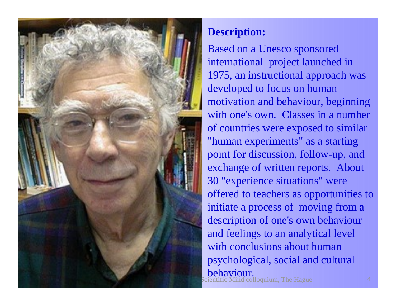

## **Description:**

Building the Scientific Mind colloquium, The Hague Based on a Unesco sponsored international project launched in 1975, an instructional approach was developed to focus on human motivation and behaviour, beginning with one's own. Classes in a number of countries were exposed to similar "human experiments" as a starting point for discussion, follow-up, and exchange of written reports. About 30 "experience situations" were offered to teachers as opportunities to initiate a process of moving from a description of one's own behaviour and feelings to an analytical level with conclusions about human psychological, social and cultural behaviour.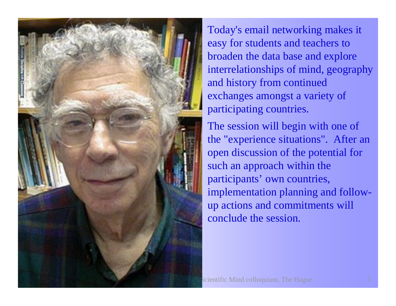

 Today's email networking makes it easy for students and teachers to broaden the data bas e and explore interrelationships of mind, geography and history from continued exchanges amongst a variety of participating countries.

The session will begin with one of the "experience situations". After an open discussion of the potential for such an approach within the participants' own countries, implementation planning and followup actions and commitments will conclude the session.